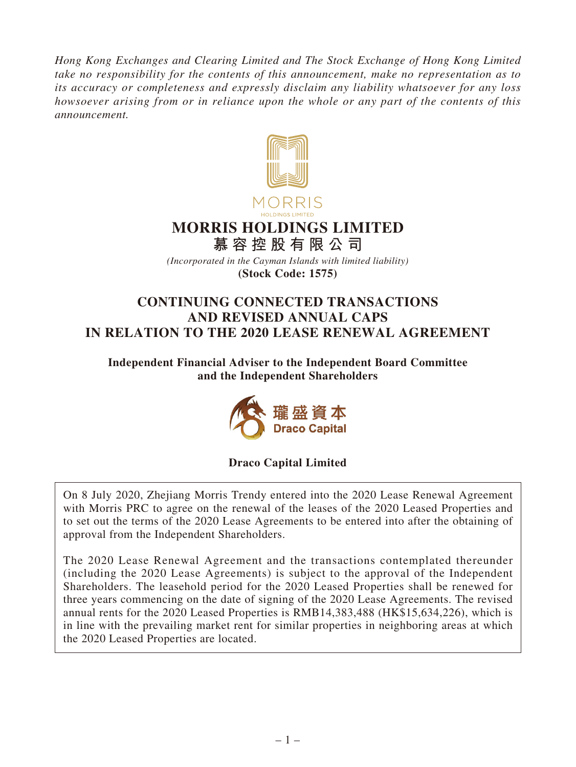*Hong Kong Exchanges and Clearing Limited and The Stock Exchange of Hong Kong Limited take no responsibility for the contents of this announcement, make no representation as to its accuracy or completeness and expressly disclaim any liability whatsoever for any loss howsoever arising from or in reliance upon the whole or any part of the contents of this announcement.*



# **MORRIS HOLDINGS LIMITED**

**慕容控股有限公司**

*(Incorporated in the Cayman Islands with limited liability)* **(Stock Code: 1575)**

# **CONTINUING CONNECTED TRANSACTIONS AND REVISED ANNUAL CAPS IN RELATION TO THE 2020 LEASE RENEWAL AGREEMENT**

**Independent Financial Adviser to the Independent Board Committee and the Independent Shareholders**



# **Draco Capital Limited**

On 8 July 2020, Zhejiang Morris Trendy entered into the 2020 Lease Renewal Agreement with Morris PRC to agree on the renewal of the leases of the 2020 Leased Properties and to set out the terms of the 2020 Lease Agreements to be entered into after the obtaining of approval from the Independent Shareholders.

The 2020 Lease Renewal Agreement and the transactions contemplated thereunder (including the 2020 Lease Agreements) is subject to the approval of the Independent Shareholders. The leasehold period for the 2020 Leased Properties shall be renewed for three years commencing on the date of signing of the 2020 Lease Agreements. The revised annual rents for the 2020 Leased Properties is RMB14,383,488 (HK\$15,634,226), which is in line with the prevailing market rent for similar properties in neighboring areas at which the 2020 Leased Properties are located.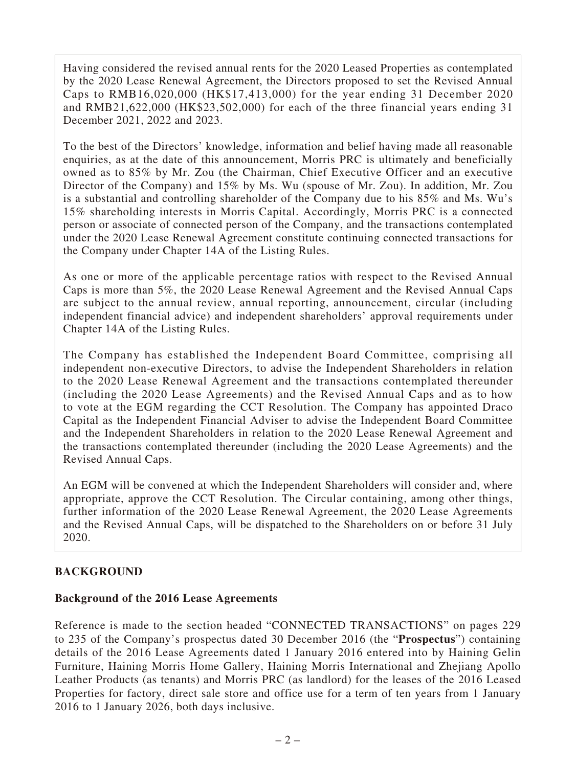Having considered the revised annual rents for the 2020 Leased Properties as contemplated by the 2020 Lease Renewal Agreement, the Directors proposed to set the Revised Annual Caps to RMB16,020,000 (HK\$17,413,000) for the year ending 31 December 2020 and RMB21,622,000 (HK\$23,502,000) for each of the three financial years ending 31 December 2021, 2022 and 2023.

To the best of the Directors' knowledge, information and belief having made all reasonable enquiries, as at the date of this announcement, Morris PRC is ultimately and beneficially owned as to 85% by Mr. Zou (the Chairman, Chief Executive Officer and an executive Director of the Company) and 15% by Ms. Wu (spouse of Mr. Zou). In addition, Mr. Zou is a substantial and controlling shareholder of the Company due to his 85% and Ms. Wu's 15% shareholding interests in Morris Capital. Accordingly, Morris PRC is a connected person or associate of connected person of the Company, and the transactions contemplated under the 2020 Lease Renewal Agreement constitute continuing connected transactions for the Company under Chapter 14A of the Listing Rules.

As one or more of the applicable percentage ratios with respect to the Revised Annual Caps is more than 5%, the 2020 Lease Renewal Agreement and the Revised Annual Caps are subject to the annual review, annual reporting, announcement, circular (including independent financial advice) and independent shareholders' approval requirements under Chapter 14A of the Listing Rules.

The Company has established the Independent Board Committee, comprising all independent non-executive Directors, to advise the Independent Shareholders in relation to the 2020 Lease Renewal Agreement and the transactions contemplated thereunder (including the 2020 Lease Agreements) and the Revised Annual Caps and as to how to vote at the EGM regarding the CCT Resolution. The Company has appointed Draco Capital as the Independent Financial Adviser to advise the Independent Board Committee and the Independent Shareholders in relation to the 2020 Lease Renewal Agreement and the transactions contemplated thereunder (including the 2020 Lease Agreements) and the Revised Annual Caps.

An EGM will be convened at which the Independent Shareholders will consider and, where appropriate, approve the CCT Resolution. The Circular containing, among other things, further information of the 2020 Lease Renewal Agreement, the 2020 Lease Agreements and the Revised Annual Caps, will be dispatched to the Shareholders on or before 31 July 2020.

# **BACKGROUND**

### **Background of the 2016 Lease Agreements**

Reference is made to the section headed "CONNECTED TRANSACTIONS" on pages 229 to 235 of the Company's prospectus dated 30 December 2016 (the "**Prospectus**") containing details of the 2016 Lease Agreements dated 1 January 2016 entered into by Haining Gelin Furniture, Haining Morris Home Gallery, Haining Morris International and Zhejiang Apollo Leather Products (as tenants) and Morris PRC (as landlord) for the leases of the 2016 Leased Properties for factory, direct sale store and office use for a term of ten years from 1 January 2016 to 1 January 2026, both days inclusive.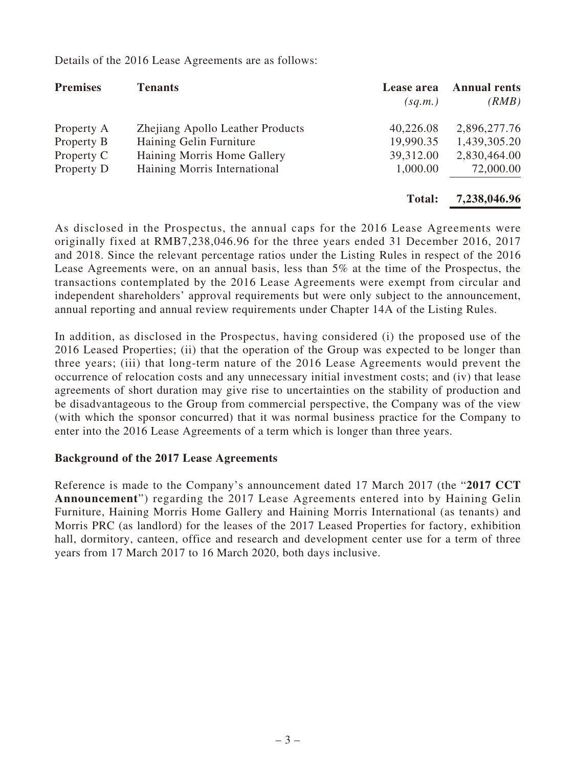**Premises Tenants Lease area Annual rents** *(sq.m.) (RMB)* Property A Zhejiang Apollo Leather Products 40,226.08 2,896,277.76 Property B Haining Gelin Furniture 19,990.35 1,439,305.20 Property C 10 Haining Morris Home Gallery 39,312.00 2,830,464.00<br>Property D 1,000.00 72,000.00 Haining Morris International 1,000.00 **Total: 7,238,046.96**

Details of the 2016 Lease Agreements are as follows:

As disclosed in the Prospectus, the annual caps for the 2016 Lease Agreements were originally fixed at RMB7,238,046.96 for the three years ended 31 December 2016, 2017 and 2018. Since the relevant percentage ratios under the Listing Rules in respect of the 2016 Lease Agreements were, on an annual basis, less than 5% at the time of the Prospectus, the transactions contemplated by the 2016 Lease Agreements were exempt from circular and independent shareholders' approval requirements but were only subject to the announcement, annual reporting and annual review requirements under Chapter 14A of the Listing Rules.

In addition, as disclosed in the Prospectus, having considered (i) the proposed use of the 2016 Leased Properties; (ii) that the operation of the Group was expected to be longer than three years; (iii) that long-term nature of the 2016 Lease Agreements would prevent the occurrence of relocation costs and any unnecessary initial investment costs; and (iv) that lease agreements of short duration may give rise to uncertainties on the stability of production and be disadvantageous to the Group from commercial perspective, the Company was of the view (with which the sponsor concurred) that it was normal business practice for the Company to enter into the 2016 Lease Agreements of a term which is longer than three years.

#### **Background of the 2017 Lease Agreements**

Reference is made to the Company's announcement dated 17 March 2017 (the "**2017 CCT Announcement**") regarding the 2017 Lease Agreements entered into by Haining Gelin Furniture, Haining Morris Home Gallery and Haining Morris International (as tenants) and Morris PRC (as landlord) for the leases of the 2017 Leased Properties for factory, exhibition hall, dormitory, canteen, office and research and development center use for a term of three years from 17 March 2017 to 16 March 2020, both days inclusive.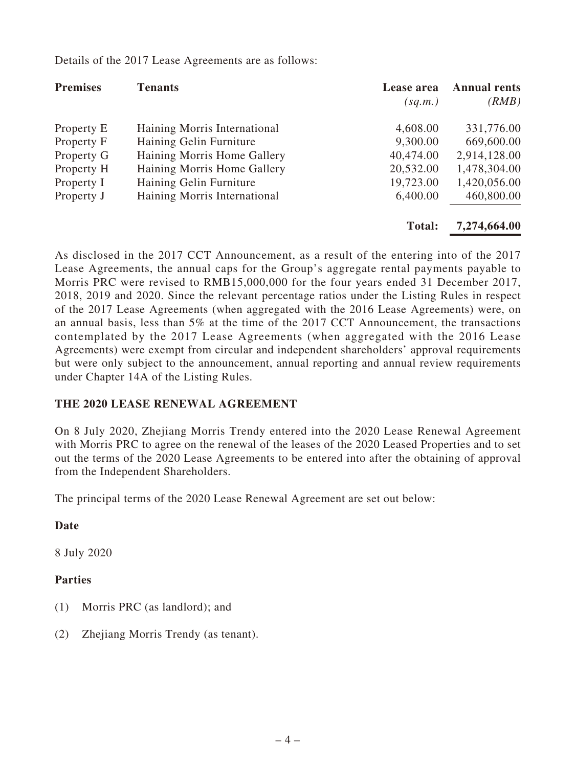| <b>Premises</b> | <b>Tenants</b>               | Lease area<br>(sq.m.) | <b>Annual rents</b><br>(RMB) |
|-----------------|------------------------------|-----------------------|------------------------------|
| Property E      | Haining Morris International | 4,608.00              | 331,776.00                   |
| Property F      | Haining Gelin Furniture      | 9,300.00              | 669,600.00                   |
| Property G      | Haining Morris Home Gallery  | 40,474.00             | 2,914,128.00                 |
| Property H      | Haining Morris Home Gallery  | 20,532.00             | 1,478,304.00                 |
| Property I      | Haining Gelin Furniture      | 19,723.00             | 1,420,056.00                 |
| Property J      | Haining Morris International | 6,400.00              | 460,800.00                   |
|                 |                              | <b>Total:</b>         | 7,274,664.00                 |

Details of the 2017 Lease Agreements are as follows:

As disclosed in the 2017 CCT Announcement, as a result of the entering into of the 2017 Lease Agreements, the annual caps for the Group's aggregate rental payments payable to Morris PRC were revised to RMB15,000,000 for the four years ended 31 December 2017, 2018, 2019 and 2020. Since the relevant percentage ratios under the Listing Rules in respect of the 2017 Lease Agreements (when aggregated with the 2016 Lease Agreements) were, on an annual basis, less than 5% at the time of the 2017 CCT Announcement, the transactions contemplated by the 2017 Lease Agreements (when aggregated with the 2016 Lease Agreements) were exempt from circular and independent shareholders' approval requirements but were only subject to the announcement, annual reporting and annual review requirements under Chapter 14A of the Listing Rules.

### **THE 2020 LEASE RENEWAL AGREEMENT**

On 8 July 2020, Zhejiang Morris Trendy entered into the 2020 Lease Renewal Agreement with Morris PRC to agree on the renewal of the leases of the 2020 Leased Properties and to set out the terms of the 2020 Lease Agreements to be entered into after the obtaining of approval from the Independent Shareholders.

The principal terms of the 2020 Lease Renewal Agreement are set out below:

### **Date**

8 July 2020

### **Parties**

- (1) Morris PRC (as landlord); and
- (2) Zhejiang Morris Trendy (as tenant).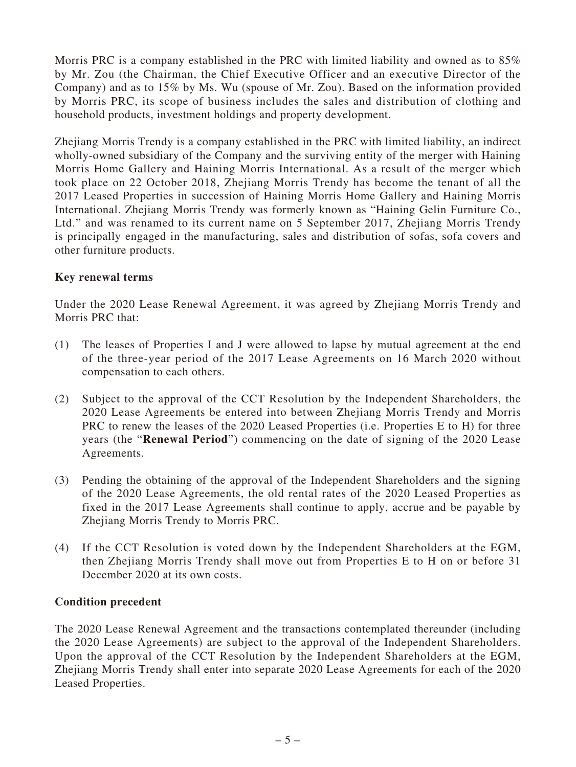Morris PRC is a company established in the PRC with limited liability and owned as to 85% by Mr. Zou (the Chairman, the Chief Executive Officer and an executive Director of the Company) and as to 15% by Ms. Wu (spouse of Mr. Zou). Based on the information provided by Morris PRC, its scope of business includes the sales and distribution of clothing and household products, investment holdings and property development.

Zhejiang Morris Trendy is a company established in the PRC with limited liability, an indirect wholly-owned subsidiary of the Company and the surviving entity of the merger with Haining Morris Home Gallery and Haining Morris International. As a result of the merger which took place on 22 October 2018, Zhejiang Morris Trendy has become the tenant of all the 2017 Leased Properties in succession of Haining Morris Home Gallery and Haining Morris International. Zhejiang Morris Trendy was formerly known as "Haining Gelin Furniture Co., Ltd." and was renamed to its current name on 5 September 2017, Zhejiang Morris Trendy is principally engaged in the manufacturing, sales and distribution of sofas, sofa covers and other furniture products.

### **Key renewal terms**

Under the 2020 Lease Renewal Agreement, it was agreed by Zhejiang Morris Trendy and Morris PRC that:

- (1) The leases of Properties I and J were allowed to lapse by mutual agreement at the end of the three-year period of the 2017 Lease Agreements on 16 March 2020 without compensation to each others.
- (2) Subject to the approval of the CCT Resolution by the Independent Shareholders, the 2020 Lease Agreements be entered into between Zhejiang Morris Trendy and Morris PRC to renew the leases of the 2020 Leased Properties (i.e. Properties E to H) for three years (the "**Renewal Period**") commencing on the date of signing of the 2020 Lease Agreements.
- (3) Pending the obtaining of the approval of the Independent Shareholders and the signing of the 2020 Lease Agreements, the old rental rates of the 2020 Leased Properties as fixed in the 2017 Lease Agreements shall continue to apply, accrue and be payable by Zhejiang Morris Trendy to Morris PRC.
- (4) If the CCT Resolution is voted down by the Independent Shareholders at the EGM, then Zhejiang Morris Trendy shall move out from Properties E to H on or before 31 December 2020 at its own costs.

### **Condition precedent**

The 2020 Lease Renewal Agreement and the transactions contemplated thereunder (including the 2020 Lease Agreements) are subject to the approval of the Independent Shareholders. Upon the approval of the CCT Resolution by the Independent Shareholders at the EGM, Zhejiang Morris Trendy shall enter into separate 2020 Lease Agreements for each of the 2020 Leased Properties.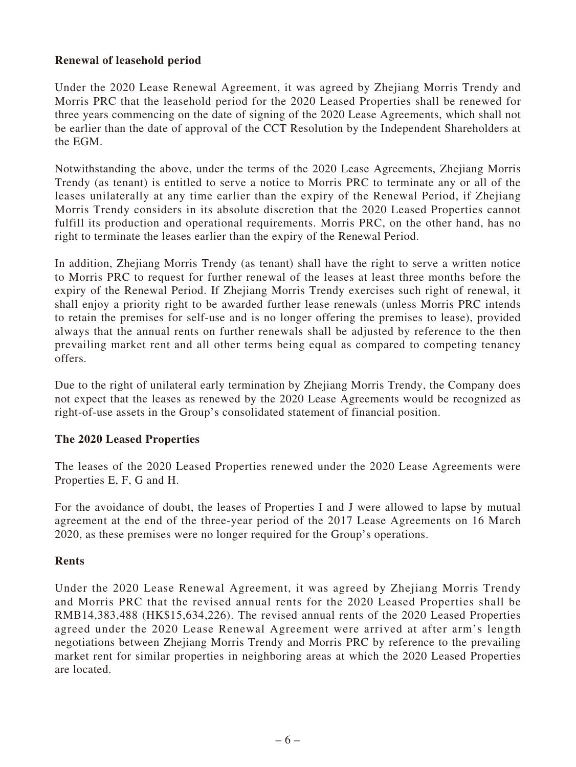### **Renewal of leasehold period**

Under the 2020 Lease Renewal Agreement, it was agreed by Zhejiang Morris Trendy and Morris PRC that the leasehold period for the 2020 Leased Properties shall be renewed for three years commencing on the date of signing of the 2020 Lease Agreements, which shall not be earlier than the date of approval of the CCT Resolution by the Independent Shareholders at the EGM.

Notwithstanding the above, under the terms of the 2020 Lease Agreements, Zhejiang Morris Trendy (as tenant) is entitled to serve a notice to Morris PRC to terminate any or all of the leases unilaterally at any time earlier than the expiry of the Renewal Period, if Zhejiang Morris Trendy considers in its absolute discretion that the 2020 Leased Properties cannot fulfill its production and operational requirements. Morris PRC, on the other hand, has no right to terminate the leases earlier than the expiry of the Renewal Period.

In addition, Zhejiang Morris Trendy (as tenant) shall have the right to serve a written notice to Morris PRC to request for further renewal of the leases at least three months before the expiry of the Renewal Period. If Zhejiang Morris Trendy exercises such right of renewal, it shall enjoy a priority right to be awarded further lease renewals (unless Morris PRC intends to retain the premises for self-use and is no longer offering the premises to lease), provided always that the annual rents on further renewals shall be adjusted by reference to the then prevailing market rent and all other terms being equal as compared to competing tenancy offers.

Due to the right of unilateral early termination by Zhejiang Morris Trendy, the Company does not expect that the leases as renewed by the 2020 Lease Agreements would be recognized as right-of-use assets in the Group's consolidated statement of financial position.

### **The 2020 Leased Properties**

The leases of the 2020 Leased Properties renewed under the 2020 Lease Agreements were Properties E, F, G and H.

For the avoidance of doubt, the leases of Properties I and J were allowed to lapse by mutual agreement at the end of the three-year period of the 2017 Lease Agreements on 16 March 2020, as these premises were no longer required for the Group's operations.

#### **Rents**

Under the 2020 Lease Renewal Agreement, it was agreed by Zhejiang Morris Trendy and Morris PRC that the revised annual rents for the 2020 Leased Properties shall be RMB14,383,488 (HK\$15,634,226). The revised annual rents of the 2020 Leased Properties agreed under the 2020 Lease Renewal Agreement were arrived at after arm's length negotiations between Zhejiang Morris Trendy and Morris PRC by reference to the prevailing market rent for similar properties in neighboring areas at which the 2020 Leased Properties are located.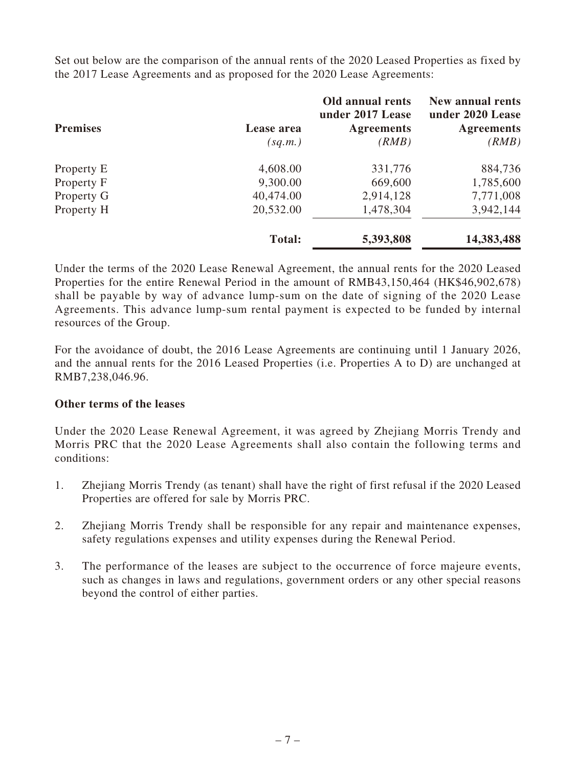Set out below are the comparison of the annual rents of the 2020 Leased Properties as fixed by the 2017 Lease Agreements and as proposed for the 2020 Lease Agreements:

|                 |               | Old annual rents<br>under 2017 Lease | <b>New annual rents</b><br>under 2020 Lease |
|-----------------|---------------|--------------------------------------|---------------------------------------------|
| <b>Premises</b> | Lease area    | <b>Agreements</b>                    | <b>Agreements</b>                           |
|                 | (sq.m.)       | (RMB)                                | (RMB)                                       |
| Property E      | 4,608.00      | 331,776                              | 884,736                                     |
| Property F      | 9,300.00      | 669,600                              | 1,785,600                                   |
| Property G      | 40,474.00     | 2,914,128                            | 7,771,008                                   |
| Property H      | 20,532.00     | 1,478,304                            | 3,942,144                                   |
|                 | <b>Total:</b> | 5,393,808                            | 14,383,488                                  |

Under the terms of the 2020 Lease Renewal Agreement, the annual rents for the 2020 Leased Properties for the entire Renewal Period in the amount of RMB43,150,464 (HK\$46,902,678) shall be payable by way of advance lump-sum on the date of signing of the 2020 Lease Agreements. This advance lump-sum rental payment is expected to be funded by internal resources of the Group.

For the avoidance of doubt, the 2016 Lease Agreements are continuing until 1 January 2026, and the annual rents for the 2016 Leased Properties (i.e. Properties A to D) are unchanged at RMB7,238,046.96.

### **Other terms of the leases**

Under the 2020 Lease Renewal Agreement, it was agreed by Zhejiang Morris Trendy and Morris PRC that the 2020 Lease Agreements shall also contain the following terms and conditions:

- 1. Zhejiang Morris Trendy (as tenant) shall have the right of first refusal if the 2020 Leased Properties are offered for sale by Morris PRC.
- 2. Zhejiang Morris Trendy shall be responsible for any repair and maintenance expenses, safety regulations expenses and utility expenses during the Renewal Period.
- 3. The performance of the leases are subject to the occurrence of force majeure events, such as changes in laws and regulations, government orders or any other special reasons beyond the control of either parties.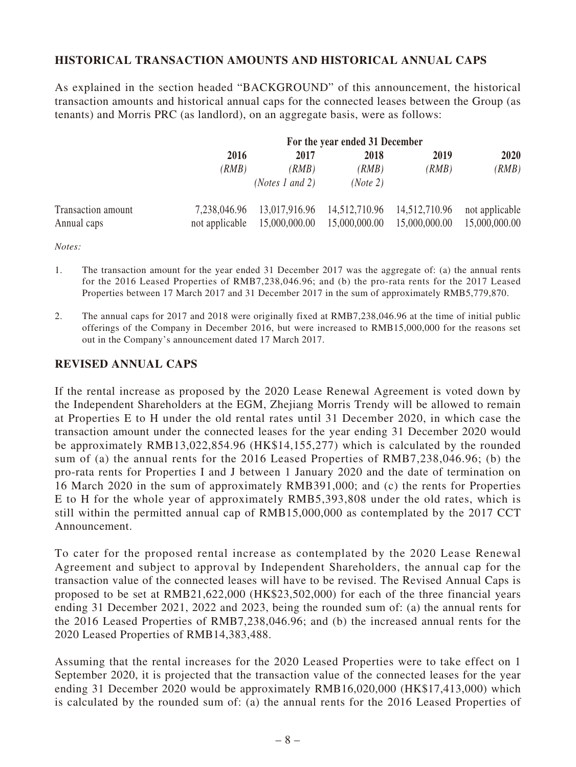## **HISTORICAL TRANSACTION AMOUNTS AND HISTORICAL ANNUAL CAPS**

As explained in the section headed "BACKGROUND" of this announcement, the historical transaction amounts and historical annual caps for the connected leases between the Group (as tenants) and Morris PRC (as landlord), on an aggregate basis, were as follows:

|                    |                |                          | For the year ended 31 December |               |                |
|--------------------|----------------|--------------------------|--------------------------------|---------------|----------------|
|                    | 2016           | 2017                     | 2018                           | 2019          | 2020           |
|                    | (RMB)          | (RMB)                    | (RMB)                          | (RMB)         | (RMB)          |
|                    |                | ( <i>Notes 1 and 2</i> ) | (Note 2)                       |               |                |
| Transaction amount | 7,238,046.96   |                          | 13,017,916.96 14,512,710.96    | 14,512,710.96 | not applicable |
| Annual caps        | not applicable | 15,000,000.00            | 15,000,000.00                  | 15,000,000.00 | 15,000,000.00  |

*Notes:*

- 1. The transaction amount for the year ended 31 December 2017 was the aggregate of: (a) the annual rents for the 2016 Leased Properties of RMB7,238,046.96; and (b) the pro-rata rents for the 2017 Leased Properties between 17 March 2017 and 31 December 2017 in the sum of approximately RMB5,779,870.
- 2. The annual caps for 2017 and 2018 were originally fixed at RMB7,238,046.96 at the time of initial public offerings of the Company in December 2016, but were increased to RMB15,000,000 for the reasons set out in the Company's announcement dated 17 March 2017.

#### **REVISED ANNUAL CAPS**

If the rental increase as proposed by the 2020 Lease Renewal Agreement is voted down by the Independent Shareholders at the EGM, Zhejiang Morris Trendy will be allowed to remain at Properties E to H under the old rental rates until 31 December 2020, in which case the transaction amount under the connected leases for the year ending 31 December 2020 would be approximately RMB13,022,854.96 (HK\$14,155,277) which is calculated by the rounded sum of (a) the annual rents for the 2016 Leased Properties of RMB7,238,046.96; (b) the pro-rata rents for Properties I and J between 1 January 2020 and the date of termination on 16 March 2020 in the sum of approximately RMB391,000; and (c) the rents for Properties E to H for the whole year of approximately RMB5,393,808 under the old rates, which is still within the permitted annual cap of RMB15,000,000 as contemplated by the 2017 CCT Announcement.

To cater for the proposed rental increase as contemplated by the 2020 Lease Renewal Agreement and subject to approval by Independent Shareholders, the annual cap for the transaction value of the connected leases will have to be revised. The Revised Annual Caps is proposed to be set at RMB21,622,000 (HK\$23,502,000) for each of the three financial years ending 31 December 2021, 2022 and 2023, being the rounded sum of: (a) the annual rents for the 2016 Leased Properties of RMB7,238,046.96; and (b) the increased annual rents for the 2020 Leased Properties of RMB14,383,488.

Assuming that the rental increases for the 2020 Leased Properties were to take effect on 1 September 2020, it is projected that the transaction value of the connected leases for the year ending 31 December 2020 would be approximately RMB16,020,000 (HK\$17,413,000) which is calculated by the rounded sum of: (a) the annual rents for the 2016 Leased Properties of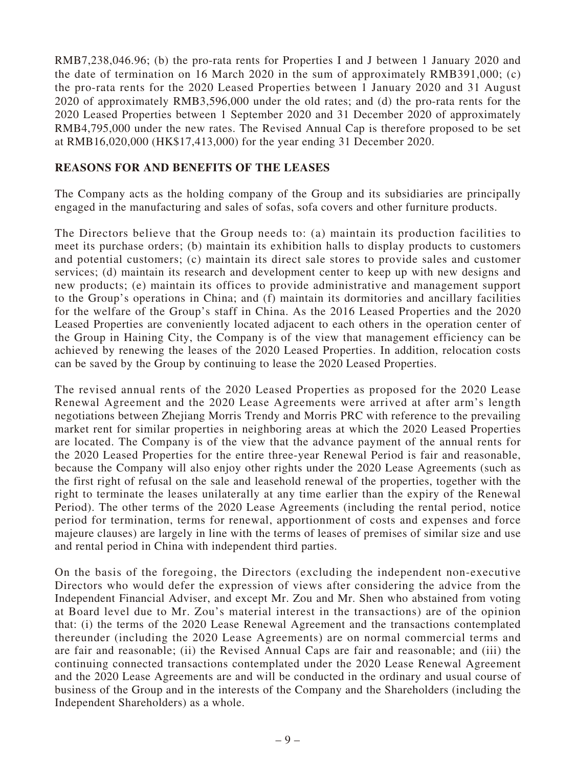RMB7,238,046.96; (b) the pro-rata rents for Properties I and J between 1 January 2020 and the date of termination on 16 March 2020 in the sum of approximately RMB391,000; (c) the pro-rata rents for the 2020 Leased Properties between 1 January 2020 and 31 August 2020 of approximately RMB3,596,000 under the old rates; and (d) the pro-rata rents for the 2020 Leased Properties between 1 September 2020 and 31 December 2020 of approximately RMB4,795,000 under the new rates. The Revised Annual Cap is therefore proposed to be set at RMB16,020,000 (HK\$17,413,000) for the year ending 31 December 2020.

#### **REASONS FOR AND BENEFITS OF THE LEASES**

The Company acts as the holding company of the Group and its subsidiaries are principally engaged in the manufacturing and sales of sofas, sofa covers and other furniture products.

The Directors believe that the Group needs to: (a) maintain its production facilities to meet its purchase orders; (b) maintain its exhibition halls to display products to customers and potential customers; (c) maintain its direct sale stores to provide sales and customer services; (d) maintain its research and development center to keep up with new designs and new products; (e) maintain its offices to provide administrative and management support to the Group's operations in China; and (f) maintain its dormitories and ancillary facilities for the welfare of the Group's staff in China. As the 2016 Leased Properties and the 2020 Leased Properties are conveniently located adjacent to each others in the operation center of the Group in Haining City, the Company is of the view that management efficiency can be achieved by renewing the leases of the 2020 Leased Properties. In addition, relocation costs can be saved by the Group by continuing to lease the 2020 Leased Properties.

The revised annual rents of the 2020 Leased Properties as proposed for the 2020 Lease Renewal Agreement and the 2020 Lease Agreements were arrived at after arm's length negotiations between Zhejiang Morris Trendy and Morris PRC with reference to the prevailing market rent for similar properties in neighboring areas at which the 2020 Leased Properties are located. The Company is of the view that the advance payment of the annual rents for the 2020 Leased Properties for the entire three-year Renewal Period is fair and reasonable, because the Company will also enjoy other rights under the 2020 Lease Agreements (such as the first right of refusal on the sale and leasehold renewal of the properties, together with the right to terminate the leases unilaterally at any time earlier than the expiry of the Renewal Period). The other terms of the 2020 Lease Agreements (including the rental period, notice period for termination, terms for renewal, apportionment of costs and expenses and force majeure clauses) are largely in line with the terms of leases of premises of similar size and use and rental period in China with independent third parties.

On the basis of the foregoing, the Directors (excluding the independent non-executive Directors who would defer the expression of views after considering the advice from the Independent Financial Adviser, and except Mr. Zou and Mr. Shen who abstained from voting at Board level due to Mr. Zou's material interest in the transactions) are of the opinion that: (i) the terms of the 2020 Lease Renewal Agreement and the transactions contemplated thereunder (including the 2020 Lease Agreements) are on normal commercial terms and are fair and reasonable; (ii) the Revised Annual Caps are fair and reasonable; and (iii) the continuing connected transactions contemplated under the 2020 Lease Renewal Agreement and the 2020 Lease Agreements are and will be conducted in the ordinary and usual course of business of the Group and in the interests of the Company and the Shareholders (including the Independent Shareholders) as a whole.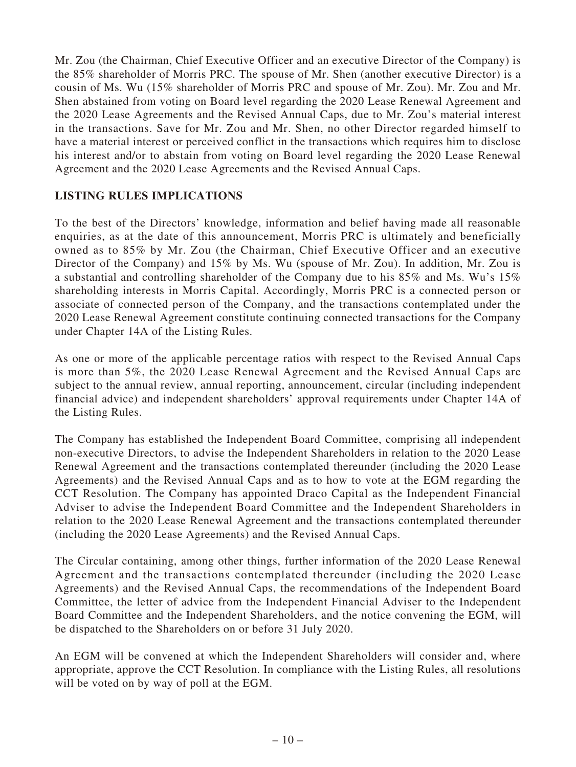Mr. Zou (the Chairman, Chief Executive Officer and an executive Director of the Company) is the 85% shareholder of Morris PRC. The spouse of Mr. Shen (another executive Director) is a cousin of Ms. Wu (15% shareholder of Morris PRC and spouse of Mr. Zou). Mr. Zou and Mr. Shen abstained from voting on Board level regarding the 2020 Lease Renewal Agreement and the 2020 Lease Agreements and the Revised Annual Caps, due to Mr. Zou's material interest in the transactions. Save for Mr. Zou and Mr. Shen, no other Director regarded himself to have a material interest or perceived conflict in the transactions which requires him to disclose his interest and/or to abstain from voting on Board level regarding the 2020 Lease Renewal Agreement and the 2020 Lease Agreements and the Revised Annual Caps.

### **LISTING RULES IMPLICATIONS**

To the best of the Directors' knowledge, information and belief having made all reasonable enquiries, as at the date of this announcement, Morris PRC is ultimately and beneficially owned as to 85% by Mr. Zou (the Chairman, Chief Executive Officer and an executive Director of the Company) and 15% by Ms. Wu (spouse of Mr. Zou). In addition, Mr. Zou is a substantial and controlling shareholder of the Company due to his 85% and Ms. Wu's 15% shareholding interests in Morris Capital. Accordingly, Morris PRC is a connected person or associate of connected person of the Company, and the transactions contemplated under the 2020 Lease Renewal Agreement constitute continuing connected transactions for the Company under Chapter 14A of the Listing Rules.

As one or more of the applicable percentage ratios with respect to the Revised Annual Caps is more than 5%, the 2020 Lease Renewal Agreement and the Revised Annual Caps are subject to the annual review, annual reporting, announcement, circular (including independent financial advice) and independent shareholders' approval requirements under Chapter 14A of the Listing Rules.

The Company has established the Independent Board Committee, comprising all independent non-executive Directors, to advise the Independent Shareholders in relation to the 2020 Lease Renewal Agreement and the transactions contemplated thereunder (including the 2020 Lease Agreements) and the Revised Annual Caps and as to how to vote at the EGM regarding the CCT Resolution. The Company has appointed Draco Capital as the Independent Financial Adviser to advise the Independent Board Committee and the Independent Shareholders in relation to the 2020 Lease Renewal Agreement and the transactions contemplated thereunder (including the 2020 Lease Agreements) and the Revised Annual Caps.

The Circular containing, among other things, further information of the 2020 Lease Renewal Agreement and the transactions contemplated thereunder (including the 2020 Lease Agreements) and the Revised Annual Caps, the recommendations of the Independent Board Committee, the letter of advice from the Independent Financial Adviser to the Independent Board Committee and the Independent Shareholders, and the notice convening the EGM, will be dispatched to the Shareholders on or before 31 July 2020.

An EGM will be convened at which the Independent Shareholders will consider and, where appropriate, approve the CCT Resolution. In compliance with the Listing Rules, all resolutions will be voted on by way of poll at the EGM.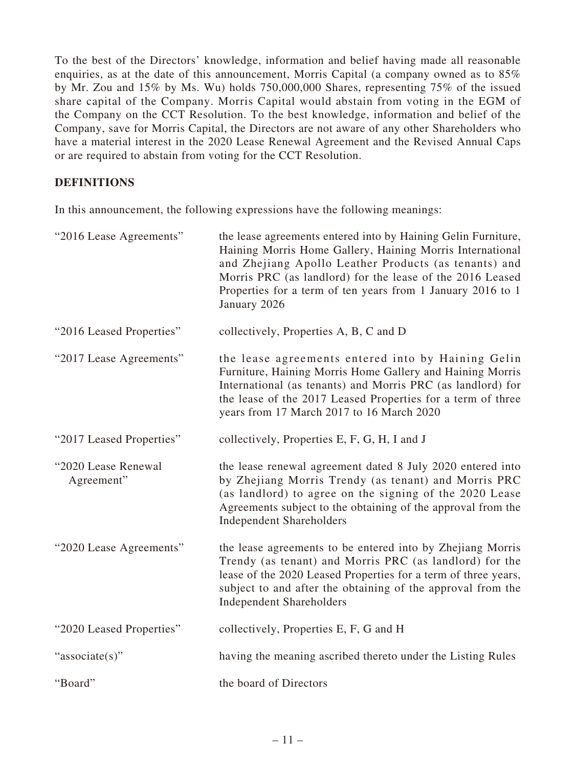To the best of the Directors' knowledge, information and belief having made all reasonable enquiries, as at the date of this announcement, Morris Capital (a company owned as to 85% by Mr. Zou and 15% by Ms. Wu) holds 750,000,000 Shares, representing 75% of the issued share capital of the Company. Morris Capital would abstain from voting in the EGM of the Company on the CCT Resolution. To the best knowledge, information and belief of the Company, save for Morris Capital, the Directors are not aware of any other Shareholders who have a material interest in the 2020 Lease Renewal Agreement and the Revised Annual Caps or are required to abstain from voting for the CCT Resolution.

## **DEFINITIONS**

In this announcement, the following expressions have the following meanings:

| "2016 Lease Agreements"           | the lease agreements entered into by Haining Gelin Furniture,<br>Haining Morris Home Gallery, Haining Morris International<br>and Zhejiang Apollo Leather Products (as tenants) and<br>Morris PRC (as landlord) for the lease of the 2016 Leased<br>Properties for a term of ten years from 1 January 2016 to 1<br>January 2026 |
|-----------------------------------|---------------------------------------------------------------------------------------------------------------------------------------------------------------------------------------------------------------------------------------------------------------------------------------------------------------------------------|
| "2016 Leased Properties"          | collectively, Properties A, B, C and D                                                                                                                                                                                                                                                                                          |
| "2017 Lease Agreements"           | the lease agreements entered into by Haining Gelin<br>Furniture, Haining Morris Home Gallery and Haining Morris<br>International (as tenants) and Morris PRC (as landlord) for<br>the lease of the 2017 Leased Properties for a term of three<br>years from 17 March 2017 to 16 March 2020                                      |
| "2017 Leased Properties"          | collectively, Properties E, F, G, H, I and J                                                                                                                                                                                                                                                                                    |
| "2020 Lease Renewal<br>Agreement" | the lease renewal agreement dated 8 July 2020 entered into<br>by Zhejiang Morris Trendy (as tenant) and Morris PRC<br>(as landlord) to agree on the signing of the 2020 Lease<br>Agreements subject to the obtaining of the approval from the<br><b>Independent Shareholders</b>                                                |
| "2020 Lease Agreements"           | the lease agreements to be entered into by Zhejiang Morris<br>Trendy (as tenant) and Morris PRC (as landlord) for the<br>lease of the 2020 Leased Properties for a term of three years,<br>subject to and after the obtaining of the approval from the<br><b>Independent Shareholders</b>                                       |
| "2020 Leased Properties"          | collectively, Properties E, F, G and H                                                                                                                                                                                                                                                                                          |
| "associate(s)"                    | having the meaning ascribed thereto under the Listing Rules                                                                                                                                                                                                                                                                     |
| "Board"                           | the board of Directors                                                                                                                                                                                                                                                                                                          |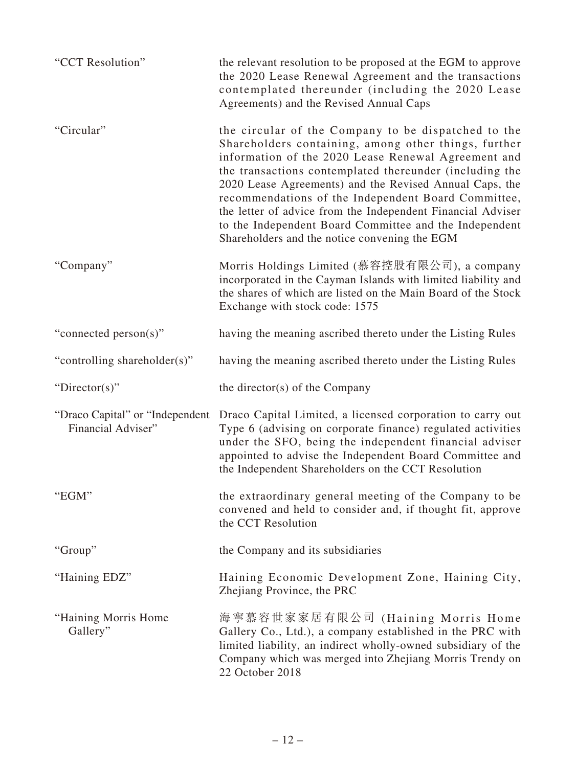| "CCT Resolution"                                       | the relevant resolution to be proposed at the EGM to approve<br>the 2020 Lease Renewal Agreement and the transactions<br>contemplated thereunder (including the 2020 Lease<br>Agreements) and the Revised Annual Caps                                                                                                                                                                                                                                                                                                     |
|--------------------------------------------------------|---------------------------------------------------------------------------------------------------------------------------------------------------------------------------------------------------------------------------------------------------------------------------------------------------------------------------------------------------------------------------------------------------------------------------------------------------------------------------------------------------------------------------|
| "Circular"                                             | the circular of the Company to be dispatched to the<br>Shareholders containing, among other things, further<br>information of the 2020 Lease Renewal Agreement and<br>the transactions contemplated thereunder (including the<br>2020 Lease Agreements) and the Revised Annual Caps, the<br>recommendations of the Independent Board Committee,<br>the letter of advice from the Independent Financial Adviser<br>to the Independent Board Committee and the Independent<br>Shareholders and the notice convening the EGM |
| "Company"                                              | Morris Holdings Limited (慕容控股有限公司), a company<br>incorporated in the Cayman Islands with limited liability and<br>the shares of which are listed on the Main Board of the Stock<br>Exchange with stock code: 1575                                                                                                                                                                                                                                                                                                         |
| "connected person(s)"                                  | having the meaning ascribed thereto under the Listing Rules                                                                                                                                                                                                                                                                                                                                                                                                                                                               |
| "controlling shareholder(s)"                           | having the meaning ascribed thereto under the Listing Rules                                                                                                                                                                                                                                                                                                                                                                                                                                                               |
| "Director(s)"                                          | the director( $s$ ) of the Company                                                                                                                                                                                                                                                                                                                                                                                                                                                                                        |
| "Draco Capital" or "Independent"<br>Financial Adviser" | Draco Capital Limited, a licensed corporation to carry out<br>Type 6 (advising on corporate finance) regulated activities<br>under the SFO, being the independent financial adviser<br>appointed to advise the Independent Board Committee and<br>the Independent Shareholders on the CCT Resolution                                                                                                                                                                                                                      |
| "EGM"                                                  | the extraordinary general meeting of the Company to be<br>convened and held to consider and, if thought fit, approve<br>the CCT Resolution                                                                                                                                                                                                                                                                                                                                                                                |
| "Group"                                                | the Company and its subsidiaries                                                                                                                                                                                                                                                                                                                                                                                                                                                                                          |
| "Haining EDZ"                                          | Haining Economic Development Zone, Haining City,<br>Zhejiang Province, the PRC                                                                                                                                                                                                                                                                                                                                                                                                                                            |
| "Haining Morris Home"<br>Gallery"                      | 海寧慕容世家家居有限公司 (Haining Morris Home<br>Gallery Co., Ltd.), a company established in the PRC with<br>limited liability, an indirect wholly-owned subsidiary of the<br>Company which was merged into Zhejiang Morris Trendy on<br>22 October 2018                                                                                                                                                                                                                                                                             |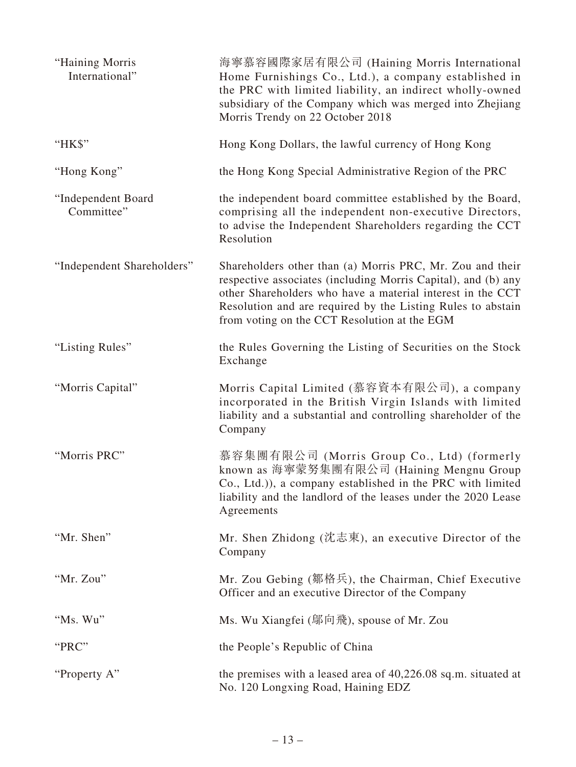| "Haining Morris<br>International" | 海寧慕容國際家居有限公司 (Haining Morris International<br>Home Furnishings Co., Ltd.), a company established in<br>the PRC with limited liability, an indirect wholly-owned<br>subsidiary of the Company which was merged into Zhejiang<br>Morris Trendy on 22 October 2018                                         |
|-----------------------------------|---------------------------------------------------------------------------------------------------------------------------------------------------------------------------------------------------------------------------------------------------------------------------------------------------------|
| "HK\$"                            | Hong Kong Dollars, the lawful currency of Hong Kong                                                                                                                                                                                                                                                     |
| "Hong Kong"                       | the Hong Kong Special Administrative Region of the PRC                                                                                                                                                                                                                                                  |
| "Independent Board<br>Committee"  | the independent board committee established by the Board,<br>comprising all the independent non-executive Directors,<br>to advise the Independent Shareholders regarding the CCT<br>Resolution                                                                                                          |
| "Independent Shareholders"        | Shareholders other than (a) Morris PRC, Mr. Zou and their<br>respective associates (including Morris Capital), and (b) any<br>other Shareholders who have a material interest in the CCT<br>Resolution and are required by the Listing Rules to abstain<br>from voting on the CCT Resolution at the EGM |
| "Listing Rules"                   | the Rules Governing the Listing of Securities on the Stock<br>Exchange                                                                                                                                                                                                                                  |
| "Morris Capital"                  | Morris Capital Limited (慕容資本有限公司), a company<br>incorporated in the British Virgin Islands with limited<br>liability and a substantial and controlling shareholder of the<br>Company                                                                                                                    |
| "Morris PRC"                      | 慕容集團有限公司 (Morris Group Co., Ltd) (formerly<br>known as 海寧蒙努集團有限公司 (Haining Mengnu Group<br>Co., Ltd.)), a company established in the PRC with limited<br>liability and the landlord of the leases under the 2020 Lease<br>Agreements                                                                    |
| "Mr. Shen"                        | Mr. Shen Zhidong (沈志東), an executive Director of the<br>Company                                                                                                                                                                                                                                         |
| "Mr. Zou"                         | Mr. Zou Gebing (鄒格兵), the Chairman, Chief Executive<br>Officer and an executive Director of the Company                                                                                                                                                                                                 |
| "Ms. Wu"                          | Ms. Wu Xiangfei (鄔向飛), spouse of Mr. Zou                                                                                                                                                                                                                                                                |
| "PRC"                             | the People's Republic of China                                                                                                                                                                                                                                                                          |
| "Property A"                      | the premises with a leased area of 40,226.08 sq.m. situated at<br>No. 120 Longxing Road, Haining EDZ                                                                                                                                                                                                    |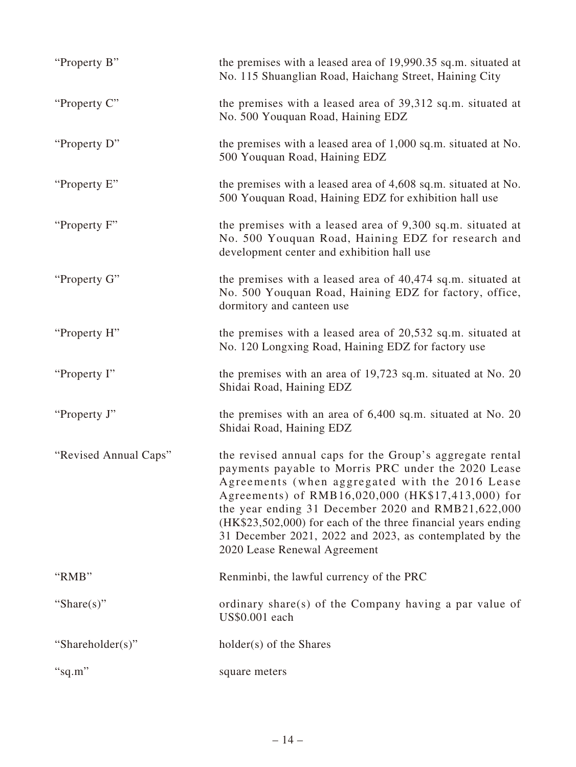| "Property B"          | the premises with a leased area of 19,990.35 sq.m. situated at<br>No. 115 Shuanglian Road, Haichang Street, Haining City                                                                                                                                                                                                                                                                                                                  |
|-----------------------|-------------------------------------------------------------------------------------------------------------------------------------------------------------------------------------------------------------------------------------------------------------------------------------------------------------------------------------------------------------------------------------------------------------------------------------------|
| "Property C"          | the premises with a leased area of 39,312 sq.m. situated at<br>No. 500 Youquan Road, Haining EDZ                                                                                                                                                                                                                                                                                                                                          |
| "Property D"          | the premises with a leased area of 1,000 sq.m. situated at No.<br>500 Youquan Road, Haining EDZ                                                                                                                                                                                                                                                                                                                                           |
| "Property E"          | the premises with a leased area of 4,608 sq.m. situated at No.<br>500 Youquan Road, Haining EDZ for exhibition hall use                                                                                                                                                                                                                                                                                                                   |
| "Property F"          | the premises with a leased area of 9,300 sq.m. situated at<br>No. 500 Youquan Road, Haining EDZ for research and<br>development center and exhibition hall use                                                                                                                                                                                                                                                                            |
| "Property G"          | the premises with a leased area of 40,474 sq.m. situated at<br>No. 500 Youquan Road, Haining EDZ for factory, office,<br>dormitory and canteen use                                                                                                                                                                                                                                                                                        |
| "Property H"          | the premises with a leased area of $20,532$ sq.m. situated at<br>No. 120 Longxing Road, Haining EDZ for factory use                                                                                                                                                                                                                                                                                                                       |
| "Property I"          | the premises with an area of 19,723 sq.m. situated at No. 20<br>Shidai Road, Haining EDZ                                                                                                                                                                                                                                                                                                                                                  |
| "Property J"          | the premises with an area of $6,400$ sq.m. situated at No. 20<br>Shidai Road, Haining EDZ                                                                                                                                                                                                                                                                                                                                                 |
| "Revised Annual Caps" | the revised annual caps for the Group's aggregate rental<br>payments payable to Morris PRC under the 2020 Lease<br>Agreements (when aggregated with the 2016 Lease<br>Agreements) of RMB16,020,000 (HK\$17,413,000) for<br>the year ending 31 December 2020 and RMB21,622,000<br>(HK\$23,502,000) for each of the three financial years ending<br>31 December 2021, 2022 and 2023, as contemplated by the<br>2020 Lease Renewal Agreement |
| "RMB"                 | Renminbi, the lawful currency of the PRC                                                                                                                                                                                                                                                                                                                                                                                                  |
| "Share $(s)$ "        | ordinary share(s) of the Company having a par value of<br>US\$0.001 each                                                                                                                                                                                                                                                                                                                                                                  |
| "Shareholder(s)"      | holder(s) of the Shares                                                                                                                                                                                                                                                                                                                                                                                                                   |
| "sq.m"                | square meters                                                                                                                                                                                                                                                                                                                                                                                                                             |